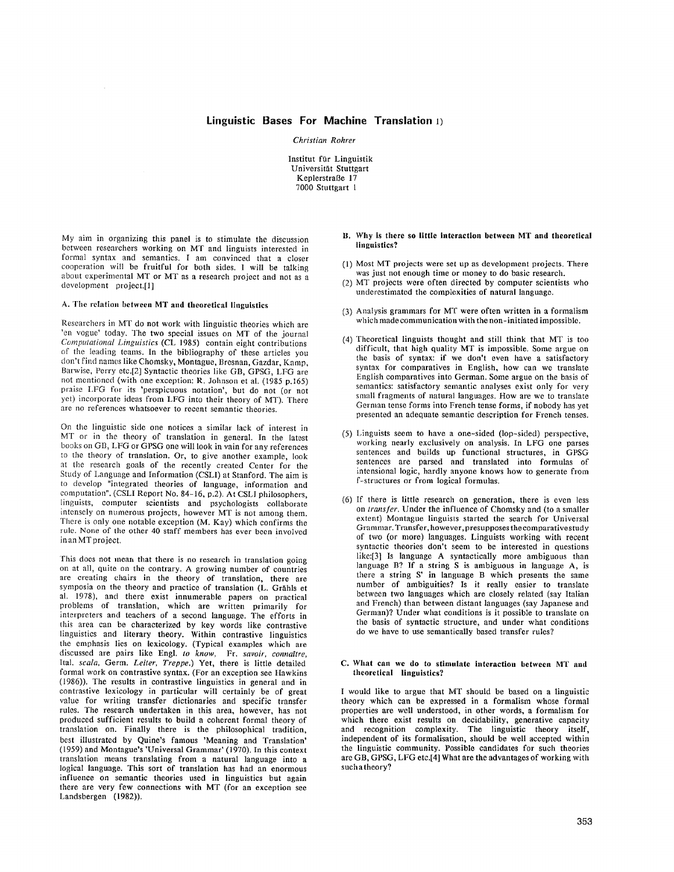# **Linguistic Bases For Machine Translation 1)**

# *Christian Rohrer*

Institut für Linguistik Universität Stuttgart Keplerstraße 17 7000 Stuttgart 1

My aim in organizing this panel is to stimulate the discussion between researchers working on MT and linguists interested in formal syntax and semantics. I am convinced that a closer cooperation will be fruitful for both sides. I will be talking about experimental MT or MT as a research project and not as a development project.[1]

#### A. The relation between MT and theoretical linguistics

Researchers in MT do not work with linguistic theories which are 'en vogue' today. The two special issues on MT of the journal *Computational Linguistics* (CL 1985) contain eight contributions of the leading teams. In the bibliography of these articles you don't find names like Chomsky, Montague, Bresnan, Gazdar, Kamp, Barwise, Perry etc.[2] Syntactic theories like GB, GPSG, LFG are not mentioned (with one exception: R. Johnson et al. (1985 p.165) praise I.FG for its 'perspicuous notation', but do not (or not yet) incorporate ideas from LFG into their theory of MT). There arc no references whatsoever to recent semantic theories.

On the linguistic side one notices a similar lack of interest in MT or in the theory of translation in general. In the latest books on GB, LFG or GPSG one will look in vain for any references to the theory of translation. Or, to give another example, look at the research goals of the recently created Center for the Study of Language and Information (CSLI) at Stanford. The aim is to develop "integrated theories of language, information and computation". (CSLI Report No. 84-16, p.2). At CSLI philosophers, linguists, computer scientists and psychologists collaborate intensely on numerous projects, however MT is not among them. There is only one notable exception (M. Kay) which confirms the rule. None of the other 40 staff members has ever been involved in an MT project.

This does not mean that there is no research in translation going on at all, quite on the contrary. A growing number of countries are creating chairs in the theory of translation, there are symposia on the theory and practice of translation (L. Grähls et al. 1978), and there exist innumerable papers on practical problems of translation, which are written primarily for interpreters and teachers of a second language. The efforts in this area can be characterized by key words like contrastive linguistics and literary theory. Within contrastive linguistics the emphasis lies on lexicology. (Typical examples which are discussed are pairs like Engl. *to know,* Fr. *savoir, connattre,*  Ital. *scala,* Germ. *Leiter, Treppe.)* Yet, there is little detailed formal work on eontrastive syntax. (For an exception see Hawkins (1986)). The results in contrastive linguistics in general and in contrastive lexicology in particular will certainly be of great value for writing transfer dictionaries and specific transfer rules. The research undertaken in this area, however, has not produced sufficient results to build a coherent formal theory of translation on. Finally there is the philosophical tradition, best illustrated by Quine's famous 'Meaning and Translation' (1959) and Montague's 'Universal Grammar' (1970). In this context translation means translating from a natural language into a logical language. This sort of translation has had an enormous influence on semantic theories used in linguistics but again there are very few connections with MT (for an exception see Landsbergen (1982)).

- Why **is there so little interaction between MT and** theoretical linguistics?
- (l) Most MT projects were set up as development projects. There was just not enough time or money to do basic research.
- (2) MT projects were often directed by computer scientists who underestimated the complexities of natural language.
- (3) Analysis grammars for MT were often written in a formalism which made communication with the non-initiated impossible.
- (4) Theoretical linguists thought and still think that MT is too difficult, that high quality MT is impossible. Some argue on the basis of syntax: if we don't even have a satisfactory syntax for comparatives in English, how can we translate English comparatives into German. Some argue on the basis of semantics: satisfactory semantic analyses exist only for very small fragments of natural languages. How are we to translate German tense forms into French tense forms, if nobody has yet presented an adequate semantic description for French tenses.
- (5) Linguists seem to Imve a one-sided (lop-sided) perspective, working nearly exclusively on analysis. In LFG one parses sentences and builds up functional structures, in GPSG sentences are parsed and translated into formulas of intensional logic, hardly anyone knows how to generate from f-structures or from logical formulas.
- (6) If there is little research on generation, there is even less on *transfer.* Under the influence of Chomsky and (to a smaller extent) Montague linguists started the search for Universal Grammar. Transfer, however, presupposes the comparative study of two (or more) languages. Linguists working with recent syntactic theories don't seem to be interested in questions like:[3] Is language A syntactically more ambiguous than language B? If a string S is ambiguous in language A, is there a string S' in language B which presents the same number of ambiguities? Is it really easier to translate between two languages which are closely related (say Italian and French) than between distant languages (say Japanese and German)? Under what conditions is it possible to translate on the basis of syntactic structure, and under what conditions do we have to use semantically based transfer rules?

### C. What can we do **to stimulate interaction between** MT and **theoretical linguistics?**

1 would like to argue that MT should be based on a linguistic theory which can be expressed in a formalism whose formal properties are well understood, in other words, a formalism for which there exist results on decidability, generative capacity and recognition complexity. The linguistic theory itself, independent of its formalisation, should be well accepted within the linguistic community. Possible candidates for such theories are GB, GPSG, LFG etc.[4] What are the advantages of working with such a theory?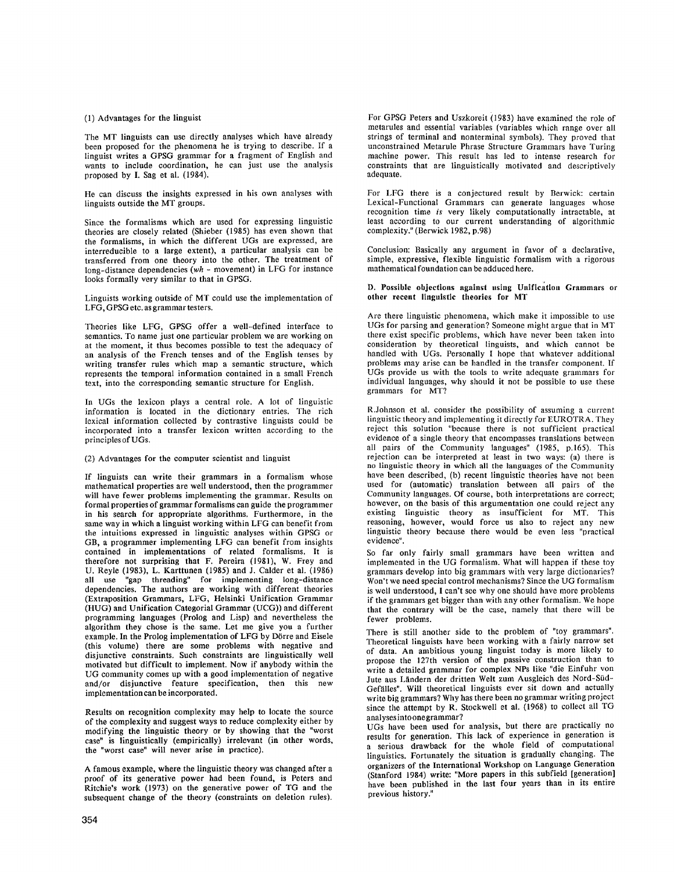#### (1) Advantages for the linguist

The MT linguists can use directly analyses which have already been proposed for the phenomena he is trying to describe. If a linguist writes a GPSG grammar for a fragment of English and wants to include coordination, he can just use the analysis proposed by I. Sag et al. (1984).

He can discuss the insights expressed in his own analyses with linguists outside the MT groups.

Since the formalisms which are used for expressing linguistic theories are closely related (Shieber (1985) has even shown that the formalisms, in which the different UGs are expressed, are interredueible to a large extent), a particular analysis can be transferred from one theory into the other. The treatment of long-distance dependencies *(wh -* movement) in LFG for instance looks formally very similar to that in GPSG.

Linguists working outside of MT could use the implementation of LFG, GPSG etc. as grammar testers.

Theories like LFG, GPSG offer a well-defined interface to semantics. To name just one particular problem we are working on at the moment, it thus becomes possible to test the adequacy of an analysis of the French tenses and of the English tenses by writing transfer rules which map a semantic structure, which represents the temporal information contained in a small French text, into the corresponding semantic structure for English.

In UGs the lexicon plays a central role. A lot of linguistic information is located in the dictionary entries. The rich lexical information collected by contrastive linguists could be incorporated into a transfer lexicon written according to the principles of UGs.

(2) Advantages for the computer scientist and linguist

If linguists can write their grammars in a formalism whose mathematical properties are well understood, then the programmer will have fewer problems implementing the grammar. Results on formal properties of grammar formalisms can guide the programmer in his search for appropriate algorithms. Furthermore, in the same way in which a linguist working within LFG can benefit from the intuitions expressed in linguistic analyses within GPSG or GB, a programmer implementing LFG can benefit from insights contained in implementations of related formalisms. It is therefore not surprising that F. Pereira (1981), W. Frey and U. Reyle (1983), L. Karttunen (1985) and J. Calder et al. (1986) "gap threading" for implementing long-distance dependencies. The authors are working with different theories (Extraposition Grammars, LFG, Helsinki Unification Grammar (HUG) and Unification Categorial Grammar (UCG)) and different programming languages (Prolog and Lisp) and nevertheless the algorithm they chose is the same. Let me give you a further example. In the Prolog implementation of LFG by Dörre and Eisele (this volume) there are some problems with negative and disjunctive constraints. Such constraints are linguistically well motivated but difficult to implement. Now if anybody within the UG community comes up with a good implementation of negative and/or disjunctive feature specification, then this new implementation can be incorporated.

Results on recognition complexity may help to locate the source of the complexity and suggest ways to reduce complexity either by modifying the linguistic theory or by showing that the "worst case" is linguistically (empirically) irrelevant (in other words, the "worst case" will never arise in practice).

A famous example, where the linguistic theory was changed after a proof of its generative power had been found, is Peters and Ritchie's work (1973) on the generative power of TG and the subsequent change of the theory (constraints on deletion rules). For GPSG Peters and Uszkoreit (1983) have examined the role of metarules and essential variables (variables which range over all strings of terminal and nonterminal symbols). They proved that unconstrained Metarule Phrase Structure Grammars have Turing machine power. This result has led to intense research for constraints that are linguistically motivated and descriptively adequate.

For LFG there is a conjectured result by Berwick: certain Lexical-Functional Grammars can generate languages whose recognition time *is* very likely computationally intractable, at least according to our current understanding of algorithmic complexity." (Berwick 1982, p.98)

Conclusion: Basically any argument in favor of a declarative, simple, expressive, flexible linguistic formalism with a rigorous mathematical foundation can be adduced here.

D. Possible objections against using Unification Grammars or **other recent linguistic theories for** MT

Are there linguistic phenomena, which make it impossible to use UGs for parsing and generation? Someone might argue that in MT there exist specific problems, which have never been taken into consideration by theoretical linguists, and which cannot be handled with UGs. Personally I hope that whatever additional problems may arise can be handled in the transfer component. If UGs provide us with the tools to write adequate grammars for individual languages, why should it not be possible to use these grammars for MT?

R.Johnson et al. consider the possibility of assuming a current linguistic theory and implementing it directly for EUROTRA. They reject this solution "because there is not sufficient practical evidence of a single theory that encompasses translations between all pairs of the Community languages" (1985, p.165). This rejection can be interpreted at least in two ways: (a) there is no linguistic theory in which all the languages of the Community have been described, (b) recent linguistic theories have not been used for (automatic) translation between all pairs of the Community languages. Of course, both interpretations are correct; however, on the basis of this argumentation one could reject any existing linguistic theory as insufficient for MT. This reasoning, however, would force us also to reject any new linguistic theory because there would be even less "practical evidence".

So far only fairly small grammars have been written and implemented in the UG formalism. What will happen if these toy grammars develop into big grammars with very large dictionaries? Won't we need special control mechanisms? Since the UG formalism is well understood, I can't see why one should have more problems if the grammars get bigger than with any other formalism. We hope that the contrary will be the case, namely that there will be fewer problems.

There is still another side to the problem of "toy grammars". Theoretical linguists have been working with a fairly narrow set of data. An ambitious young linguist today is more likely to propose the 127th version of the passive construction than to write a detailed grammar for complex NPs like "die Einfuhr von Jute aus Ländern der dritten Welt zum Ausgleich des Nord-Süd-Gefalles". Will theoretical linguists ever sit down and actually write big grammars? Why has there been no grammar writing project since the attempt by R. Stockwell et al. (1968) to collect all TG analysesintoonegrammar?

UGs have been used for analysis, but there are practically no results for generation. This lack of experience in generation is a serious drawback for the whole field of computational linguistics. Fortunately the situation is gradually changing. The organizers of the International Workshop on Language Generation (Stanford 1984) write: "More papers in this subfield [generation] have been published in the last four years than in its entire previous history."